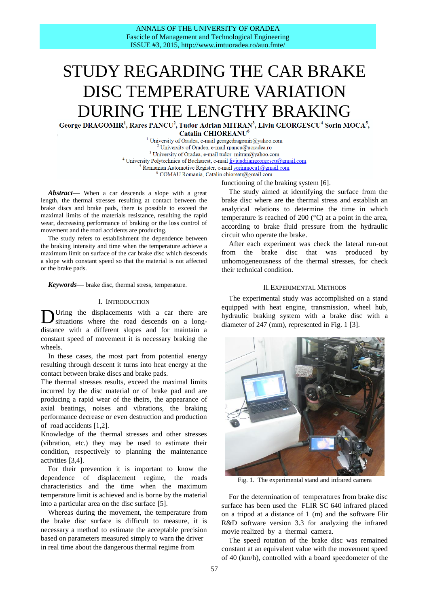# STUDY REGARDING THE CAR BRAKE DISC TEMPERATURE VARIATION DURING THE LENGTHY BRAKING<br>George DRAGOMIR<sup>1</sup>, Rares PANCU<sup>2</sup>, Tudor Adrian MITRAN<sup>3</sup>, Liviu GEORGESCU<sup>4</sup> Sorin MOCA<sup>5</sup>,

**decision** Catalin CHIOREANU<sup><sup>o</sup></sup>  $\text{Catalin}$  **CHIOREANU<sup>6</sup>** 

<sup>1</sup> University of Oradea, e-mail georgedragomir@yahoo.com <sup>2</sup> University of Oradea, e-mail [rpancu@uoradea.ro](mailto:rpancu@uoradea.ro) <sup>3</sup> University of Oradea, e-mai[l tudor\\_mitran@yahoo.com](mailto:tudor_mitran@yahoo.com) <sup>4</sup> University Polytechnica of Bucharest, e-mail [liviuadriangeorgescu@gmail.com](mailto:liviuadriangeorgescu@gmail.com) <sup>5</sup> Romanian Automotive Register, e-mail sorinmoca1@gmail.com<br><sup>6</sup> COMAU Romania, Catalin.chioreau@gmail.com

functioning of the braking system [6].

*Abstract***—** When a car descends a slope with a great length, the thermal stresses resulting at contact between the brake discs and brake pads, there is possible to exceed the maximal limits of the materials resistance, resulting the rapid wear, decreasing performance of braking or the loss control of movement and the road accidents are producing.

The study refers to establishment the dependence between the braking intensity and time when the temperature achieve a maximum limit on surface of the car brake disc which descends a slope with constant speed so that the material is not affected or the brake pads.

*Keywords***—** brake disc, thermal stress, temperature.

#### I. INTRODUCTION

Uring the displacements with a car there are situations where the road descends on a longdistance with a different slopes and for maintain a constant speed of movement it is necessary braking the wheels. D

In these cases, the most part from potential energy resulting through descent it turns into heat energy at the contact between brake discs and brake pads.

The thermal stresses results, exceed the maximal limits incurred by the disc material or of brake pad and are producing a rapid wear of the theirs, the appearance of axial beatings, noises and vibrations, the braking performance decrease or even destruction and production of road accidents [1,2].

Knowledge of the thermal stresses and other stresses (vibration, etc.) they may be used to estimate their condition, respectively to planning the maintenance activities [3,4].

For their prevention it is important to know the dependence of displacement regime, the roads characteristics and the time when the maximum temperature limit is achieved and is borne by the material into a particular area on the disc surface [5].

Whereas during the movement, the temperature from the brake disc surface is difficult to measure, it is necessary a method to estimate the acceptable precision based on parameters measured simply to warn the driver in real time about the dangerous thermal regime from

The study aimed at identifying the surface from the brake disc where are the thermal stress and establish an analytical relations to determine the time in which temperature is reached of 200 (°C) at a point in the area, according to brake fluid pressure from the hydraulic circuit who operate the brake.

After each experiment was check the lateral run-out from the brake disc that was produced by unhomogeneousness of the thermal stresses, for check their technical condition.

## II.EXPERIMENTAL METHODS

The experimental study was accomplished on a stand equipped with heat engine, transmission, wheel hub, hydraulic braking system with a brake disc with a diameter of 247 (mm), represented in Fig. 1 [3].



Fig. 1. The experimental stand and infrared camera

For the determination of temperatures from brake disc surface has been used the FLIR SC 640 infrared placed on a tripod at a distance of 1 (m) and the software Flir R&D software version 3.3 for analyzing the infrared movie realized by a thermal camera.

The speed rotation of the brake disc was remained constant at an equivalent value with the movement speed of 40 (km/h), controlled with a board speedometer of the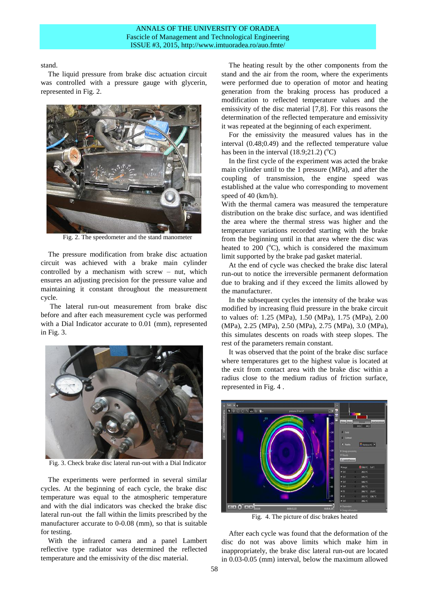stand.

The liquid pressure from brake disc actuation circuit was controlled with a pressure gauge with glycerin, represented in Fig. 2.



Fig. 2. The speedometer and the stand manometer

The pressure modification from brake disc actuation circuit was achieved with a brake main cylinder controlled by a mechanism with screw – nut, which ensures an adjusting precision for the pressure value and maintaining it constant throughout the measurement cycle.

The lateral run-out measurement from brake disc before and after each measurement cycle was performed with a Dial Indicator accurate to 0.01 (mm), represented in Fig. 3.



Fig. 3. Check brake disc lateral run-out with a Dial Indicator

The experiments were performed in several similar cycles. At the beginning of each cycle, the brake disc temperature was equal to the atmospheric temperature and with the dial indicators was checked the brake disc lateral run-out the fall within the limits prescribed by the manufacturer accurate to 0-0.08 (mm), so that is suitable for testing.

With the infrared camera and a panel Lambert reflective type radiator was determined the reflected temperature and the emissivity of the disc material.

The heating result by the other components from the stand and the air from the room, where the experiments were performed due to operation of motor and heating generation from the braking process has produced a modification to reflected temperature values and the emissivity of the disc material [7,8]. For this reasons the determination of the reflected temperature and emissivity it was repeated at the beginning of each experiment.

For the emissivity the measured values has in the interval (0.48;0.49) and the reflected temperature value has been in the interval  $(18.9;21.2)$  (°C)

In the first cycle of the experiment was acted the brake main cylinder until to the 1 pressure (MPa), and after the coupling of transmission, the engine speed was established at the value who corresponding to movement speed of 40 (km/h).

With the thermal camera was measured the temperature distribution on the brake disc surface, and was identified the area where the thermal stress was higher and the temperature variations recorded starting with the brake from the beginning until in that area where the disc was heated to 200  $(°C)$ , which is considered the maximum limit supported by the brake pad gasket material.

At the end of cycle was checked the brake disc lateral run-out to notice the irreversible permanent deformation due to braking and if they exceed the limits allowed by the manufacturer.

In the subsequent cycles the intensity of the brake was modified by increasing fluid pressure in the brake circuit to values of: 1.25 (MPa), 1.50 (MPa), 1.75 (MPa), 2.00 (MPa), 2.25 (MPa), 2.50 (MPa), 2.75 (MPa), 3.0 (MPa), this simulates descents on roads with steep slopes. The rest of the parameters remain constant.

It was observed that the point of the brake disc surface where temperatures get to the highest value is located at the exit from contact area with the brake disc within a radius close to the medium radius of friction surface, represented in Fig. 4 .



Fig. 4. The picture of disc brakes heated

After each cycle was found that the deformation of the disc do not was above limits which make him in inappropriately, the brake disc lateral run-out are located in 0.03-0.05 (mm) interval, below the maximum allowed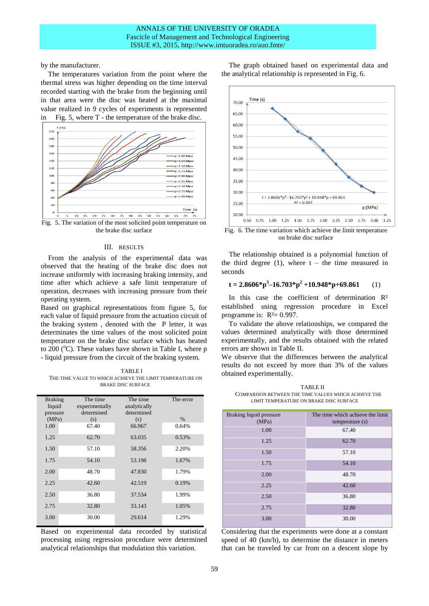## ANNALS OF THE UNIVERSITY OF ORADEA Fascicle of Management and Technological Engineering ISSUE #3, 2015, http://www.imtuoradea.ro/auo.fmte/

by the manufacturer.

The temperatures variation from the point where the thermal stress was higher depending on the time interval recorded starting with the brake from the beginning until in that area were the disc was heated at the maximal value realized in 9 cycles of experiments is represented in Fig. 5, where T - the temperature of the brake disc.



Fig. 5. The variation of the most solicited point temperature on the brake disc surface

## III. RESULTS

From the analysis of the experimental data was observed that the heating of the brake disc does not increase uniformly with increasing braking intensity, and time after which achieve a safe limit temperature of operation, decreases with increasing pressure from their operating system.

Based on graphical representations from figure 5, for each value of liquid pressure from the actuation circuit of the braking system , denoted with the P letter, it was determinates the time values of the most solicited point temperature on the brake disc surface which has heated to 200 ( $^{\circ}$ C). These values have shown in Table I, where p - liquid pressure from the circuit of the braking system.

TABLE I THE TIME VALUE TO WHICH ACHIEVE THE LIMIT TEMPERATURE ON BRAKE DISC SURFACE

| <b>Braking</b><br>liquid<br>pressure | The time<br>experimentally<br>determined | The time<br>analytically<br>determined | The error |
|--------------------------------------|------------------------------------------|----------------------------------------|-----------|
| (MPa)                                | (s)                                      | (s)                                    | $\%$      |
| 1.00                                 | 67.40                                    | 66.967                                 | 0.64%     |
| 1.25                                 | 62.70                                    | 63.035                                 | 0.53%     |
| 1.50                                 | 57.10                                    | 58.356                                 | 2.20%     |
| 1.75                                 | 54.10                                    | 53.198                                 | 1.67%     |
| 2.00                                 | 48.70                                    | 47.830                                 | 1.79%     |
| 2.25                                 | 42.60                                    | 42.519                                 | 0.19%     |
| 2.50                                 | 36.80                                    | 37.534                                 | 1.99%     |
| 2.75                                 | 32.80                                    | 33.143                                 | 1.05%     |
| 3.00                                 | 30.00                                    | 29.614                                 | 1.29%     |

Based on experimental data recorded by statistical processing using regression procedure were determined analytical relationships that modulation this variation.

The graph obtained based on experimental data and the analytical relationship is represented in Fig. 6.



Fig. 6. The time variation which achieve the limit temperature on brake disc surface

The relationship obtained is a polynomial function of the third degree  $(1)$ , where  $t -$  the time measured in seconds

## **t** = 2.8606\*p<sup>3</sup>-16.703\*p<sup>2</sup> +10.948\*p+69.861 (1)

In this case the coefficient of determination R<sup>2</sup> established using regression procedure in Excel programme is:  $R^2 = 0.997$ .

To validate the above relationships, we compared the values determined analytically with those determined experimentally, and the results obtained with the related errors are shown in Table II.

We observe that the differences between the analytical results do not exceed by more than 3% of the values obtained experimentally.

TABLE II COMPARISON BETWEEN THE TIME VALUES WHICH ACHIEVE THE LIMIT TEMPERATURE ON BRAKE DISC SURFACE

| Braking liquid pressure<br>(MPa) | The time which achieve the limit<br>temperature (s) |
|----------------------------------|-----------------------------------------------------|
| 1.00                             | 67.40                                               |
| 1.25                             | 62.70                                               |
| 1.50                             | 57.10                                               |
| 1.75                             | 54.10                                               |
| 2.00                             | 48.70                                               |
| 2.25                             | 42.60                                               |
| 2.50                             | 36.80                                               |
| 2.75                             | 32.80                                               |
| 3.00                             | 30.00                                               |

Considering that the experiments were done at a constant speed of 40 (km/h), to determine the distance in meters that can be traveled by car from on a descent slope by